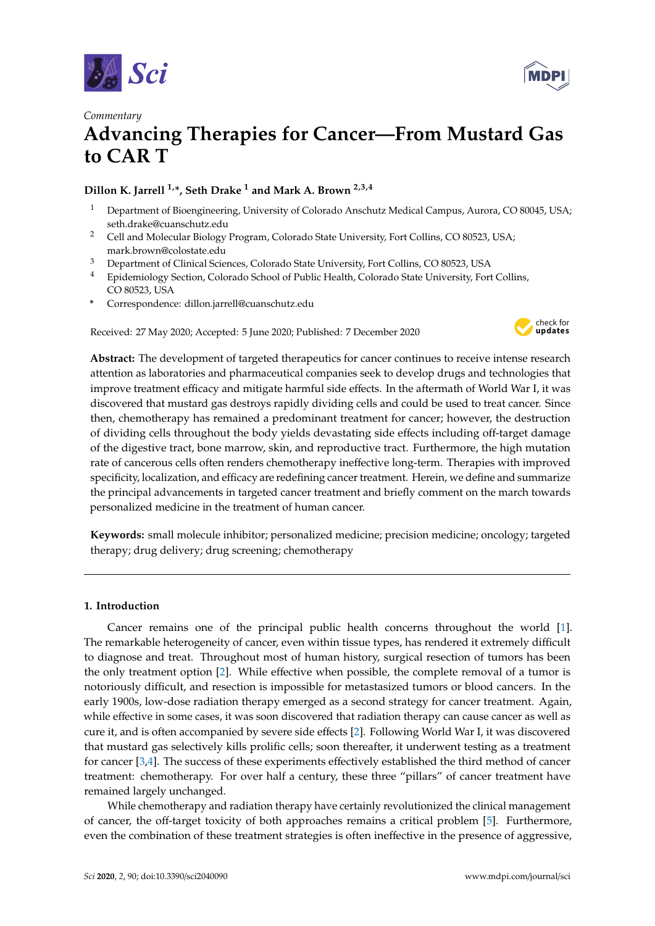



# **Advancing Therapies for Cancer—From Mustard Gas to CAR T**

## **Dillon K. Jarrell 1,\*, Seth Drake <sup>1</sup> and Mark A. Brown 2,3,4**

- <sup>1</sup> Department of Bioengineering, University of Colorado Anschutz Medical Campus, Aurora, CO 80045, USA; seth.drake@cuanschutz.edu
- <sup>2</sup> Cell and Molecular Biology Program, Colorado State University, Fort Collins, CO 80523, USA; mark.brown@colostate.edu
- <sup>3</sup> Department of Clinical Sciences, Colorado State University, Fort Collins, CO 80523, USA
- <sup>4</sup> Epidemiology Section, Colorado School of Public Health, Colorado State University, Fort Collins, CO 80523, USA
- **\*** Correspondence: dillon.jarrell@cuanschutz.edu

Received: 27 May 2020; Accepted: 5 June 2020; Published: 7 December 2020



**Abstract:** The development of targeted therapeutics for cancer continues to receive intense research attention as laboratories and pharmaceutical companies seek to develop drugs and technologies that improve treatment efficacy and mitigate harmful side effects. In the aftermath of World War I, it was discovered that mustard gas destroys rapidly dividing cells and could be used to treat cancer. Since then, chemotherapy has remained a predominant treatment for cancer; however, the destruction of dividing cells throughout the body yields devastating side effects including off-target damage of the digestive tract, bone marrow, skin, and reproductive tract. Furthermore, the high mutation rate of cancerous cells often renders chemotherapy ineffective long-term. Therapies with improved specificity, localization, and efficacy are redefining cancer treatment. Herein, we define and summarize the principal advancements in targeted cancer treatment and briefly comment on the march towards personalized medicine in the treatment of human cancer.

**Keywords:** small molecule inhibitor; personalized medicine; precision medicine; oncology; targeted therapy; drug delivery; drug screening; chemotherapy

### **1. Introduction**

Cancer remains one of the principal public health concerns throughout the world [\[1\]](#page-2-0). The remarkable heterogeneity of cancer, even within tissue types, has rendered it extremely difficult to diagnose and treat. Throughout most of human history, surgical resection of tumors has been the only treatment option [\[2\]](#page-2-1). While effective when possible, the complete removal of a tumor is notoriously difficult, and resection is impossible for metastasized tumors or blood cancers. In the early 1900s, low-dose radiation therapy emerged as a second strategy for cancer treatment. Again, while effective in some cases, it was soon discovered that radiation therapy can cause cancer as well as cure it, and is often accompanied by severe side effects [\[2\]](#page-2-1). Following World War I, it was discovered that mustard gas selectively kills prolific cells; soon thereafter, it underwent testing as a treatment for cancer [\[3,](#page-2-2)[4\]](#page-2-3). The success of these experiments effectively established the third method of cancer treatment: chemotherapy. For over half a century, these three "pillars" of cancer treatment have remained largely unchanged.

While chemotherapy and radiation therapy have certainly revolutionized the clinical management of cancer, the off-target toxicity of both approaches remains a critical problem [\[5\]](#page-2-4). Furthermore, even the combination of these treatment strategies is often ineffective in the presence of aggressive,

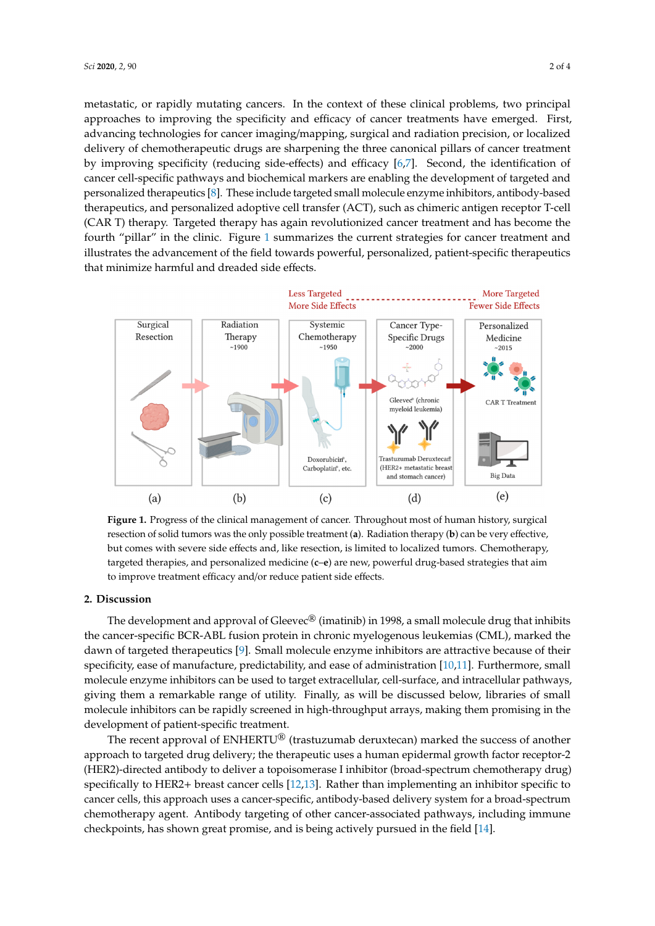metastatic, or rapidly mutating cancers. In the context of these clinical problems, two principal approaches to improving the specificity and efficacy of cancer treatments have emerged. First, advancing technologies for cancer imaging/mapping, surgical and radiation precision, or localized delivery of chemotherapeutic drugs are sharpening the three canonical pillars of cancer treatment delivery of chemotherapeutic drugs are sharpening the three canonical pillars of cancer treatment by improving specificity (reducing side-effects) and efficacy [\[6,](#page-2-5)[7\]](#page-2-6). Second, the identification of ey inspecific pathways and biochemical markers are enabling the development of targeted and cancer cell-specific pathways and biochemical markers are enabling the development of targeted and entiest can appear a partitivity and a sociolentical matrices are enabling the development of angeles and personalized therapeutics [\[8\]](#page-2-7). These include targeted small molecule enzyme inhibitors, antibody-based personalized alterapeutics <sub>[9]</sub>. These include ungetted simul increased end, the manufactory, antibody-based therapeutics, and personalized adoptive cell transfer (ACT), such as chimeric antigen receptor T-cell  $CAR$  T) therapy. Targeted therapy has again revolutionized cancer treatment and has become the fourth "pillar" in the clinic. Figure [1](#page-1-0) summarizes the current strategies for cancer treatment and  $\frac{1}{n}$ to and patient parameters in the cannot regard a cannot meet can consider the cannot with the illustrates the advancement of the field towards powerful, personalized, patient-specific therapeutics magnates are aarrangement of the field to marke powertally personalize that minimize harmful and dreaded side effects.

<span id="page-1-0"></span>

resection of solid tumors was the only possible treatment (**a**). Radiation therapy (**b**) can be very effective, but comes with severe side effects and, like resection, is limited to localized tumors. Chemotherapy, targeted therapies, and personalized medicine (**c–e**) are new, powerful drug-based strategies that aim to improve treatment efficacy and/or reduce patient side effects. **Figure 1.** Progress of the clinical management of cancer. Throughout most of human history, surgical

#### $s_{\rm c}$  that aim to improve that and or reduce patient side effects. **2. Discussion**

**2. Discussion**  The development and approval of Gleevec® (imatinib) in 1998, a small molecule drug that inhibits dawn of targeted therapeutics [\[9\]](#page-2-8). Small molecule enzyme inhibitors are attractive because of their specificity, ease of manufacture, predictability, and ease of administration  $[10,11]$  $[10,11]$ . Furthermore, small marked the dawn of targeted therapeutics [9]. Small molecule enzyme inhibitors are attractive molecule enzyme inhibitors can be used to target extracellular, cell-surface, and intracellular pathways, ence the trajent manufacture charge of manufacture, predictability, and manufacture, predictability, giving them a remarkable range of utility. Finally, as will be discussed below, libraries of small  $F_{\text{m}}$  and  $\alpha$  is the used to target enzyme in high molecule enzyme in high surface  $\alpha$  and  $\alpha$  is the used to target extracellular, cell-surface, and he used to target extracellular, cell-surface, and he used to ta molecule inhibitors can be rapidly screened in high-throughput arrays, making them promising in the<br>development of national energies treatment the cancer-specific BCR-ABL fusion protein in chronic myelogenous leukemias (CML), marked the development of patient-specific treatment.

The recent approval of ENHERTU<sup>®</sup> (trastuzumab deruxtecan) marked the success of another approach to targeted drug delivery; the therapeutic uses a human epidermal growth factor receptor-2 The recent approval of ENHERTU® (trastuzumab deruxtecan) marked the success of another (HER2)-directed antibody to deliver a topoisomerase I inhibitor (broad-spectrum chemotherapy drug)  $\frac{1}{2}$  and the targeted drug delivery; the therapeutic values of the therapeutic receptor-terms entering factors, specifically to HER2+ breast cancer cells [\[12](#page-3-0)[,13\]](#page-3-1). Rather than implementing an inhibitor specific to 2 (HER2)-directed antibody to deliver a topoisomerase I inhibitor (broad-spectrum chemotherapy cancer cells, this approach uses a cancer-specific, antibody-based delivery system for a broad-spectrum chemotherapy agent. Antibody targeting of other cancer-associated pathways, including immune  $t_{\rm cool}$  to calculate the cancer cells, this approach uses a cancer-specific, and  $t_{\rm cool}$  and  $t_{\rm cool}$  and  $t_{\rm cool}$  and  $t_{\rm cool}$  and  $t_{\rm cool}$  and  $t_{\rm cool}$  and  $t_{\rm cool}$  and  $t_{\rm cool}$  and  $t_{\rm cool}$  and  $t_{\rm cool}$  and  $t_{\rm cool}$  checkpoints, has shown great promise, and is being actively pursued in the field [\[14\]](#page-3-2).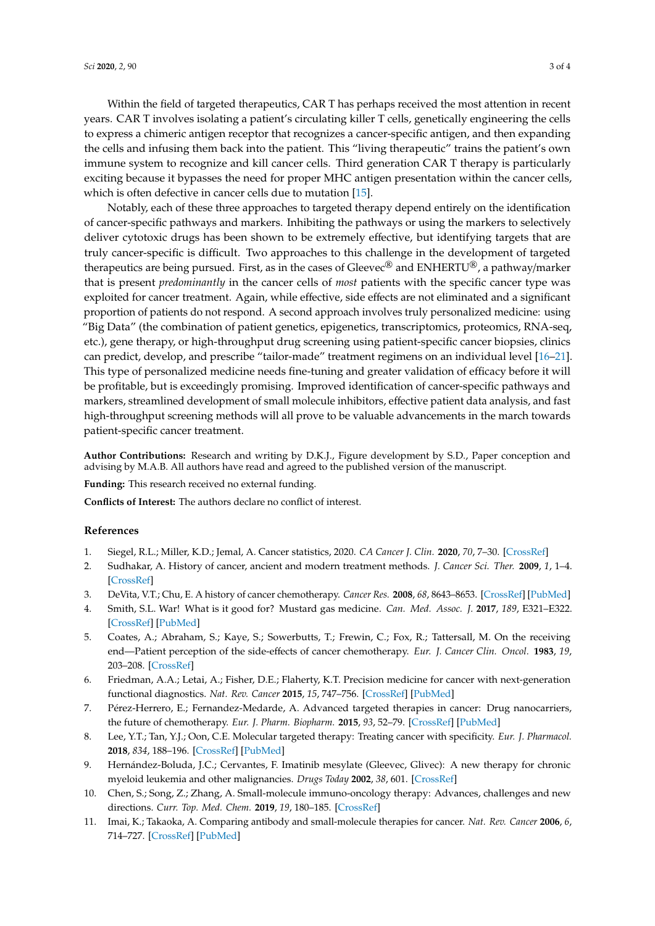Within the field of targeted therapeutics, CAR T has perhaps received the most attention in recent years. CAR T involves isolating a patient's circulating killer T cells, genetically engineering the cells to express a chimeric antigen receptor that recognizes a cancer-specific antigen, and then expanding the cells and infusing them back into the patient. This "living therapeutic" trains the patient's own immune system to recognize and kill cancer cells. Third generation CAR T therapy is particularly exciting because it bypasses the need for proper MHC antigen presentation within the cancer cells, which is often defective in cancer cells due to mutation [\[15\]](#page-3-3).

Notably, each of these three approaches to targeted therapy depend entirely on the identification of cancer-specific pathways and markers. Inhibiting the pathways or using the markers to selectively deliver cytotoxic drugs has been shown to be extremely effective, but identifying targets that are truly cancer-specific is difficult. Two approaches to this challenge in the development of targeted therapeutics are being pursued. First, as in the cases of Gleevec<sup>®</sup> and ENHERTU<sup>®</sup>, a pathway/marker that is present *predominantly* in the cancer cells of *most* patients with the specific cancer type was exploited for cancer treatment. Again, while effective, side effects are not eliminated and a significant proportion of patients do not respond. A second approach involves truly personalized medicine: using "Big Data" (the combination of patient genetics, epigenetics, transcriptomics, proteomics, RNA-seq, etc.), gene therapy, or high-throughput drug screening using patient-specific cancer biopsies, clinics can predict, develop, and prescribe "tailor-made" treatment regimens on an individual level [\[16–](#page-3-4)[21\]](#page-3-5). This type of personalized medicine needs fine-tuning and greater validation of efficacy before it will be profitable, but is exceedingly promising. Improved identification of cancer-specific pathways and markers, streamlined development of small molecule inhibitors, effective patient data analysis, and fast high-throughput screening methods will all prove to be valuable advancements in the march towards patient-specific cancer treatment.

**Author Contributions:** Research and writing by D.K.J., Figure development by S.D., Paper conception and advising by M.A.B. All authors have read and agreed to the published version of the manuscript.

**Funding:** This research received no external funding.

**Conflicts of Interest:** The authors declare no conflict of interest.

#### **References**

- <span id="page-2-0"></span>1. Siegel, R.L.; Miller, K.D.; Jemal, A. Cancer statistics, 2020. *CA Cancer J. Clin.* **2020**, *70*, 7–30. [\[CrossRef\]](http://dx.doi.org/10.3322/caac.21590)
- <span id="page-2-1"></span>2. Sudhakar, A. History of cancer, ancient and modern treatment methods. *J. Cancer Sci. Ther.* **2009**, *1*, 1–4. [\[CrossRef\]](http://dx.doi.org/10.4172/1948-5956.100000e2)
- <span id="page-2-2"></span>3. DeVita, V.T.; Chu, E. A history of cancer chemotherapy. *Cancer Res.* **2008**, *68*, 8643–8653. [\[CrossRef\]](http://dx.doi.org/10.1158/0008-5472.CAN-07-6611) [\[PubMed\]](http://www.ncbi.nlm.nih.gov/pubmed/18974103)
- <span id="page-2-3"></span>4. Smith, S.L. War! What is it good for? Mustard gas medicine. *Can. Med. Assoc. J.* **2017**, *189*, E321–E322. [\[CrossRef\]](http://dx.doi.org/10.1503/cmaj.161032) [\[PubMed\]](http://www.ncbi.nlm.nih.gov/pubmed/28246228)
- <span id="page-2-4"></span>5. Coates, A.; Abraham, S.; Kaye, S.; Sowerbutts, T.; Frewin, C.; Fox, R.; Tattersall, M. On the receiving end—Patient perception of the side-effects of cancer chemotherapy. *Eur. J. Cancer Clin. Oncol.* **1983**, *19*, 203–208. [\[CrossRef\]](http://dx.doi.org/10.1016/0277-5379(83)90418-2)
- <span id="page-2-5"></span>6. Friedman, A.A.; Letai, A.; Fisher, D.E.; Flaherty, K.T. Precision medicine for cancer with next-generation functional diagnostics. *Nat. Rev. Cancer* **2015**, *15*, 747–756. [\[CrossRef\]](http://dx.doi.org/10.1038/nrc4015) [\[PubMed\]](http://www.ncbi.nlm.nih.gov/pubmed/26536825)
- <span id="page-2-6"></span>7. Pérez-Herrero, E.; Fernandez-Medarde, A. Advanced targeted therapies in cancer: Drug nanocarriers, the future of chemotherapy. *Eur. J. Pharm. Biopharm.* **2015**, *93*, 52–79. [\[CrossRef\]](http://dx.doi.org/10.1016/j.ejpb.2015.03.018) [\[PubMed\]](http://www.ncbi.nlm.nih.gov/pubmed/25813885)
- <span id="page-2-7"></span>8. Lee, Y.T.; Tan, Y.J.; Oon, C.E. Molecular targeted therapy: Treating cancer with specificity. *Eur. J. Pharmacol.* **2018**, *834*, 188–196. [\[CrossRef\]](http://dx.doi.org/10.1016/j.ejphar.2018.07.034) [\[PubMed\]](http://www.ncbi.nlm.nih.gov/pubmed/30031797)
- <span id="page-2-8"></span>9. Hernández-Boluda, J.C.; Cervantes, F. Imatinib mesylate (Gleevec, Glivec): A new therapy for chronic myeloid leukemia and other malignancies. *Drugs Today* **2002**, *38*, 601. [\[CrossRef\]](http://dx.doi.org/10.1358/dot.2002.38.9.696536)
- <span id="page-2-9"></span>10. Chen, S.; Song, Z.; Zhang, A. Small-molecule immuno-oncology therapy: Advances, challenges and new directions. *Curr. Top. Med. Chem.* **2019**, *19*, 180–185. [\[CrossRef\]](http://dx.doi.org/10.2174/1568026619666190308131805)
- <span id="page-2-10"></span>11. Imai, K.; Takaoka, A. Comparing antibody and small-molecule therapies for cancer. *Nat. Rev. Cancer* **2006**, *6*, 714–727. [\[CrossRef\]](http://dx.doi.org/10.1038/nrc1913) [\[PubMed\]](http://www.ncbi.nlm.nih.gov/pubmed/16929325)